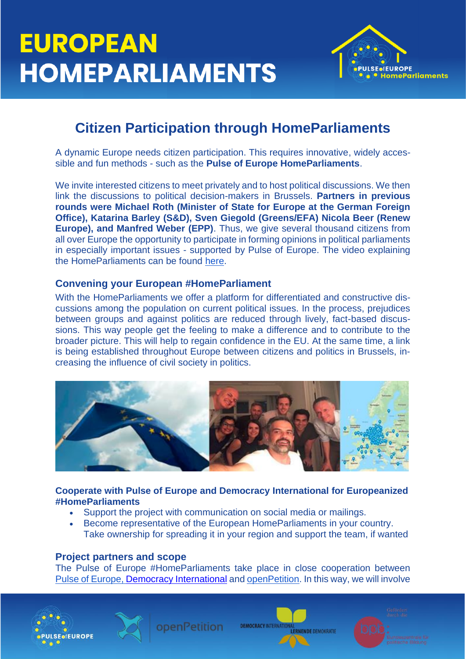

# **Citizen Participation through HomeParliaments**

A dynamic Europe needs citizen participation. This requires innovative, widely accessible and fun methods - such as the **Pulse of Europe HomeParliaments**.

We invite interested citizens to meet privately and to host political discussions. We then link the discussions to political decision-makers in Brussels. **Partners in previous rounds were Michael Roth (Minister of State for Europe at the German Foreign Office), Katarina Barley (S&D), Sven Giegold (Greens/EFA) Nicola Beer (Renew Europe), and Manfred Weber (EPP)**. Thus, we give several thousand citizens from all over Europe the opportunity to participate in forming opinions in political parliaments in especially important issues - supported by Pulse of Europe. The video explaining the HomeParliaments can be found [here.](https://www.youtube.com/watch?v=viwNXoSr-9E)

#### **Convening your European #HomeParliament**

With the HomeParliaments we offer a platform for differentiated and constructive discussions among the population on current political issues. In the process, prejudices between groups and against politics are reduced through lively, fact-based discussions. This way people get the feeling to make a difference and to contribute to the broader picture. This will help to regain confidence in the EU. At the same time, a link is being established throughout Europe between citizens and politics in Brussels, increasing the influence of civil society in politics.



**Cooperate with Pulse of Europe and Democracy International for Europeanized #HomeParliaments**

- Support the project with communication on social media or mailings.
- Become representative of the European HomeParliaments in your country. Take ownership for spreading it in your region and support the team, if wanted

#### **Project partners and scope**

The Pulse of Europe #HomeParliaments take place in close cooperation between [Pulse of Europe,](https://pulseofeurope.eu/en/) [Democracy International](https://www.democracy-international.org/) and [openPetition.](https://www.openpetition.eu/) In this way, we will involve





ppenPetition